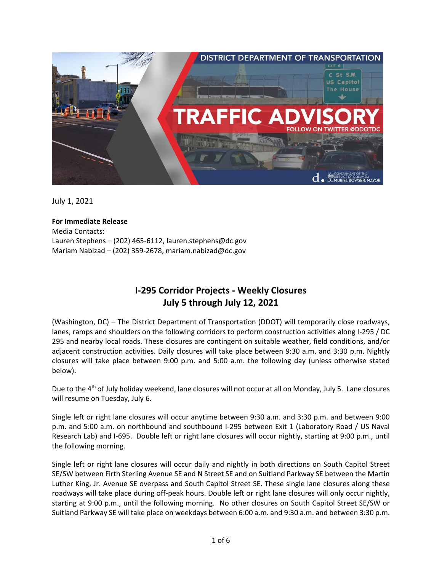

July 1, 2021

## **For Immediate Release**

Media Contacts: Lauren Stephens – (202) 465-6112[, lauren.stephens@dc.gov](mailto:lauren.stephens@dc.gov) Mariam Nabizad – (202) 359-2678[, mariam.nabizad@dc.gov](mailto:mariam.nabizad@dc.gov) 

# **I-295 Corridor Projects - Weekly Closures July 5 through July 12, 2021**

(Washington, DC) – The District Department of Transportation (DDOT) will temporarily close roadways, lanes, ramps and shoulders on the following corridors to perform construction activities along I-295 / DC 295 and nearby local roads. These closures are contingent on suitable weather, field conditions, and/or adjacent construction activities. Daily closures will take place between 9:30 a.m. and 3:30 p.m. Nightly closures will take place between 9:00 p.m. and 5:00 a.m. the following day (unless otherwise stated below).

Due to the 4<sup>th</sup> of July holiday weekend, lane closures will not occur at all on Monday, July 5. Lane closures will resume on Tuesday, July 6.

Single left or right lane closures will occur anytime between 9:30 a.m. and 3:30 p.m. and between 9:00 p.m. and 5:00 a.m. on northbound and southbound I-295 between Exit 1 (Laboratory Road / US Naval Research Lab) and I-695. Double left or right lane closures will occur nightly, starting at 9:00 p.m., until the following morning.

Single left or right lane closures will occur daily and nightly in both directions on South Capitol Street SE/SW between Firth Sterling Avenue SE and N Street SE and on Suitland Parkway SE between the Martin Luther King, Jr. Avenue SE overpass and South Capitol Street SE. These single lane closures along these roadways will take place during off-peak hours. Double left or right lane closures will only occur nightly, starting at 9:00 p.m., until the following morning. No other closures on South Capitol Street SE/SW or Suitland Parkway SE will take place on weekdays between 6:00 a.m. and 9:30 a.m. and between 3:30 p.m.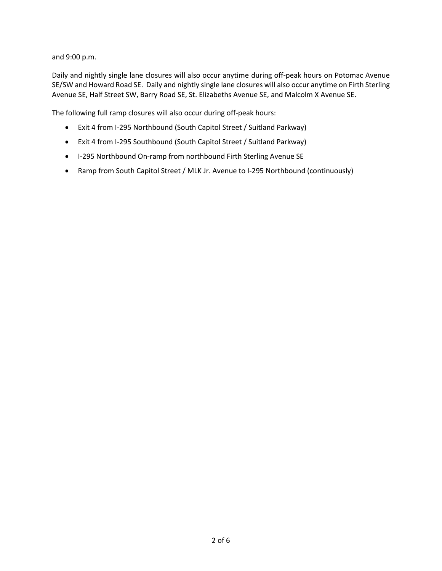and 9:00 p.m.

Daily and nightly single lane closures will also occur anytime during off-peak hours on Potomac Avenue SE/SW and Howard Road SE. Daily and nightly single lane closures will also occur anytime on Firth Sterling Avenue SE, Half Street SW, Barry Road SE, St. Elizabeths Avenue SE, and Malcolm X Avenue SE.

The following full ramp closures will also occur during off-peak hours:

- Exit 4 from I-295 Northbound (South Capitol Street / Suitland Parkway)
- Exit 4 from I-295 Southbound (South Capitol Street / Suitland Parkway)
- I-295 Northbound On-ramp from northbound Firth Sterling Avenue SE
- Ramp from South Capitol Street / MLK Jr. Avenue to I-295 Northbound (continuously)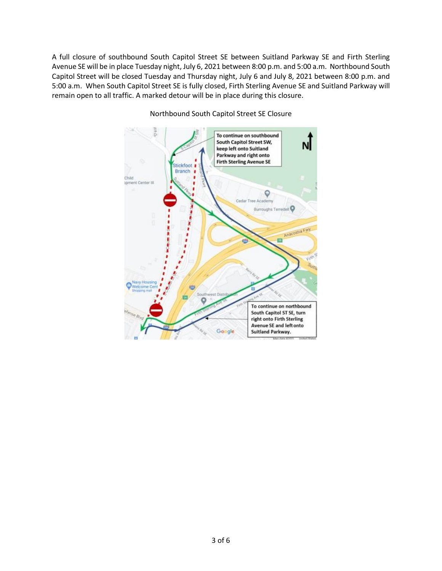A full closure of southbound South Capitol Street SE between Suitland Parkway SE and Firth Sterling Avenue SE will be in place Tuesday night, July 6, 2021 between 8:00 p.m. and 5:00 a.m. Northbound South Capitol Street will be closed Tuesday and Thursday night, July 6 and July 8, 2021 between 8:00 p.m. and 5:00 a.m. When South Capitol Street SE is fully closed, Firth Sterling Avenue SE and Suitland Parkway will remain open to all traffic. A marked detour will be in place during this closure.



#### Northbound South Capitol Street SE Closure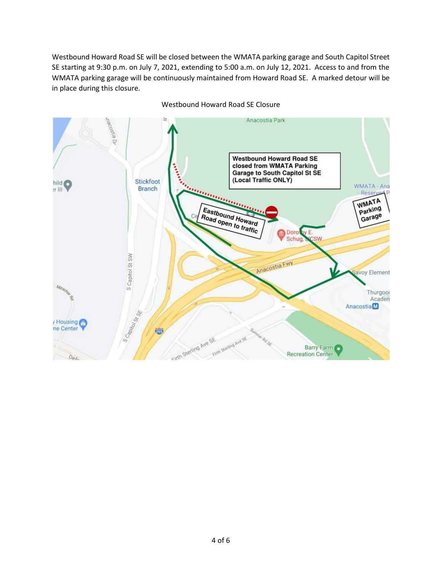Westbound Howard Road SE will be closed between the WMATA parking garage and South Capitol Street SE starting at 9:30 p.m. on July 7, 2021, extending to 5:00 a.m. on July 12, 2021. Access to and from the WMATA parking garage will be continuously maintained from Howard Road SE. A marked detour will be in place during this closure.



Westbound Howard Road SE Closure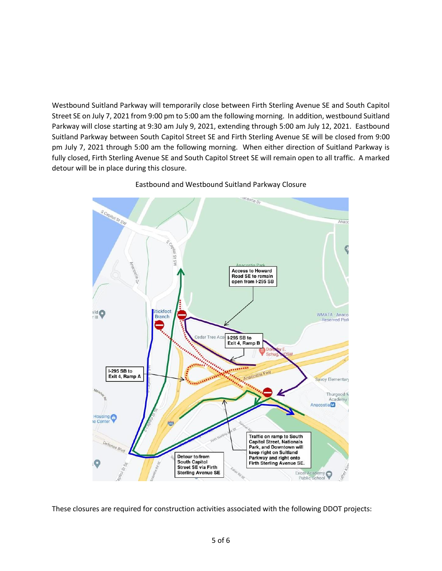Westbound Suitland Parkway will temporarily close between Firth Sterling Avenue SE and South Capitol Street SE on July 7, 2021 from 9:00 pm to 5:00 am the following morning. In addition, westbound Suitland Parkway will close starting at 9:30 am July 9, 2021, extending through 5:00 am July 12, 2021. Eastbound Suitland Parkway between South Capitol Street SE and Firth Sterling Avenue SE will be closed from 9:00 pm July 7, 2021 through 5:00 am the following morning. When either direction of Suitland Parkway is fully closed, Firth Sterling Avenue SE and South Capitol Street SE will remain open to all traffic. A marked detour will be in place during this closure.



Eastbound and Westbound Suitland Parkway Closure

These closures are required for construction activities associated with the following DDOT projects: